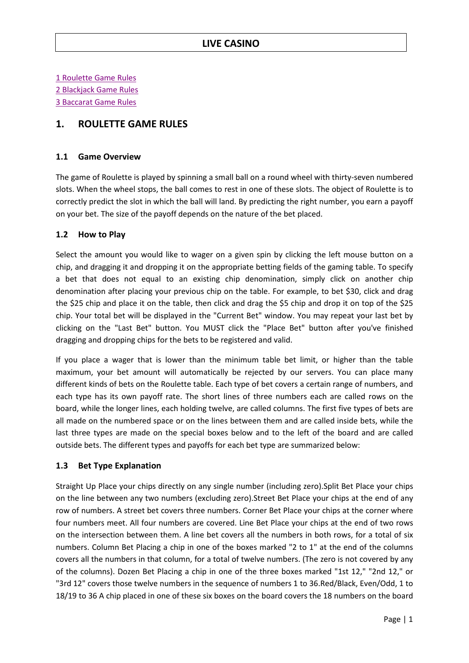<span id="page-0-1"></span>[1 Roulette Game Rules](#page-0-0) [2 Blackjack Game Rules](#page-1-0) [3 Baccarat Game Rules](#page-7-0)

# <span id="page-0-0"></span>**1. ROULETTE GAME RULES**

### **1.1 Game Overview**

The game of Roulette is played by spinning a small ball on a round wheel with thirty-seven numbered slots. When the wheel stops, the ball comes to rest in one of these slots. The object of Roulette is to correctly predict the slot in which the ball will land. By predicting the right number, you earn a payoff on your bet. The size of the payoff depends on the nature of the bet placed.

### **1.2 How to Play**

Select the amount you would like to wager on a given spin by clicking the left mouse button on a chip, and dragging it and dropping it on the appropriate betting fields of the gaming table. To specify a bet that does not equal to an existing chip denomination, simply click on another chip denomination after placing your previous chip on the table. For example, to bet \$30, click and drag the \$25 chip and place it on the table, then click and drag the \$5 chip and drop it on top of the \$25 chip. Your total bet will be displayed in the "Current Bet" window. You may repeat your last bet by clicking on the "Last Bet" button. You MUST click the "Place Bet" button after you've finished dragging and dropping chips for the bets to be registered and valid.

If you place a wager that is lower than the minimum table bet limit, or higher than the table maximum, your bet amount will automatically be rejected by our servers. You can place many different kinds of bets on the Roulette table. Each type of bet covers a certain range of numbers, and each type has its own payoff rate. The short lines of three numbers each are called rows on the board, while the longer lines, each holding twelve, are called columns. The first five types of bets are all made on the numbered space or on the lines between them and are called inside bets, while the last three types are made on the special boxes below and to the left of the board and are called outside bets. The different types and payoffs for each bet type are summarized below:

## **1.3 Bet Type Explanation**

Straight Up Place your chips directly on any single number (including zero).Split Bet Place your chips on the line between any two numbers (excluding zero).Street Bet Place your chips at the end of any row of numbers. A street bet covers three numbers. Corner Bet Place your chips at the corner where four numbers meet. All four numbers are covered. Line Bet Place your chips at the end of two rows on the intersection between them. A line bet covers all the numbers in both rows, for a total of six numbers. Column Bet Placing a chip in one of the boxes marked "2 to 1" at the end of the columns covers all the numbers in that column, for a total of twelve numbers. (The zero is not covered by any of the columns). Dozen Bet Placing a chip in one of the three boxes marked "1st 12," "2nd 12," or "3rd 12" covers those twelve numbers in the sequence of numbers 1 to 36.Red/Black, Even/Odd, 1 to 18/19 to 36 A chip placed in one of these six boxes on the board covers the 18 numbers on the board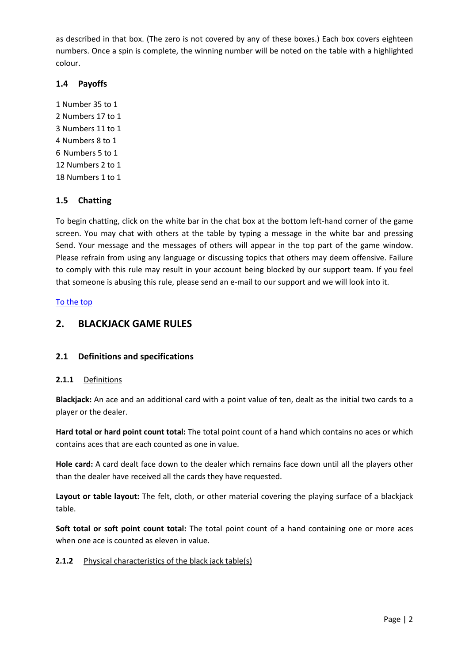as described in that box. (The zero is not covered by any of these boxes.) Each box covers eighteen numbers. Once a spin is complete, the winning number will be noted on the table with a highlighted colour.

## **1.4 Payoffs**

1 Number 35 to 1 2 Numbers 17 to 1 3 Numbers 11 to 1 4 Numbers 8 to 1 6 Numbers 5 to 1 12 Numbers 2 to 1 18 Numbers 1 to 1

## **1.5 Chatting**

To begin chatting, click on the white bar in the chat box at the bottom left-hand corner of the game screen. You may chat with others at the table by typing a message in the white bar and pressing Send. Your message and the messages of others will appear in the top part of the game window. Please refrain from using any language or discussing topics that others may deem offensive. Failure to comply with this rule may result in your account being blocked by our support team. If you feel that someone is abusing this rule, please send an e-mail to our support and we will look into it.

## [To the top](#page-0-1)

# <span id="page-1-0"></span>**2. BLACKJACK GAME RULES**

## **2.1 Definitions and specifications**

#### **2.1.1** Definitions

**Blackjack:** An ace and an additional card with a point value of ten, dealt as the initial two cards to a player or the dealer.

**Hard total or hard point count total:** The total point count of a hand which contains no aces or which contains aces that are each counted as one in value.

**Hole card:** A card dealt face down to the dealer which remains face down until all the players other than the dealer have received all the cards they have requested.

Layout or table layout: The felt, cloth, or other material covering the playing surface of a blackjack table.

Soft total or soft point count total: The total point count of a hand containing one or more aces when one ace is counted as eleven in value.

#### **2.1.2** Physical characteristics of the black jack table(s)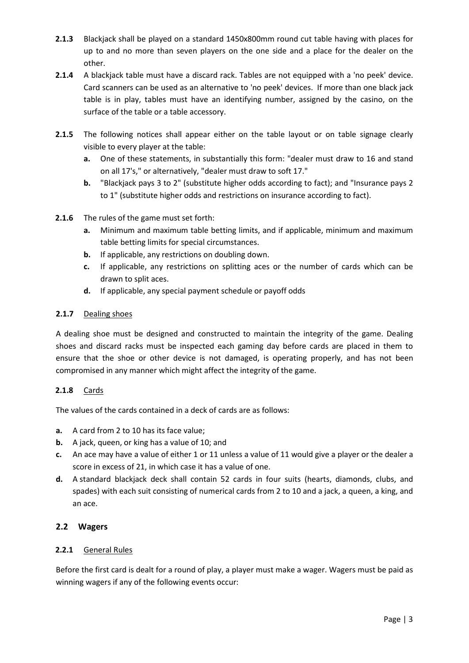- **2.1.3** Blackjack shall be played on a standard 1450x800mm round cut table having with places for up to and no more than seven players on the one side and a place for the dealer on the other.
- **2.1.4** A blackjack table must have a discard rack. Tables are not equipped with a 'no peek' device. Card scanners can be used as an alternative to 'no peek' devices. If more than one black jack table is in play, tables must have an identifying number, assigned by the casino, on the surface of the table or a table accessory.
- **2.1.5** The following notices shall appear either on the table layout or on table signage clearly visible to every player at the table:
	- **a.** One of these statements, in substantially this form: "dealer must draw to 16 and stand on all 17's," or alternatively, "dealer must draw to soft 17."
	- **b.** "Blackjack pays 3 to 2" (substitute higher odds according to fact); and "Insurance pays 2 to 1" (substitute higher odds and restrictions on insurance according to fact).
- **2.1.6** The rules of the game must set forth:
	- **a.** Minimum and maximum table betting limits, and if applicable, minimum and maximum table betting limits for special circumstances.
	- **b.** If applicable, any restrictions on doubling down.
	- **c.** If applicable, any restrictions on splitting aces or the number of cards which can be drawn to split aces.
	- **d.** If applicable, any special payment schedule or payoff odds

## **2.1.7** Dealing shoes

A dealing shoe must be designed and constructed to maintain the integrity of the game. Dealing shoes and discard racks must be inspected each gaming day before cards are placed in them to ensure that the shoe or other device is not damaged, is operating properly, and has not been compromised in any manner which might affect the integrity of the game.

## **2.1.8** Cards

The values of the cards contained in a deck of cards are as follows:

- **a.** A card from 2 to 10 has its face value;
- **b.** A jack, queen, or king has a value of 10; and
- **c.** An ace may have a value of either 1 or 11 unless a value of 11 would give a player or the dealer a score in excess of 21, in which case it has a value of one.
- **d.** A standard blackjack deck shall contain 52 cards in four suits (hearts, diamonds, clubs, and spades) with each suit consisting of numerical cards from 2 to 10 and a jack, a queen, a king, and an ace.

## **2.2 Wagers**

## **2.2.1** General Rules

Before the first card is dealt for a round of play, a player must make a wager. Wagers must be paid as winning wagers if any of the following events occur: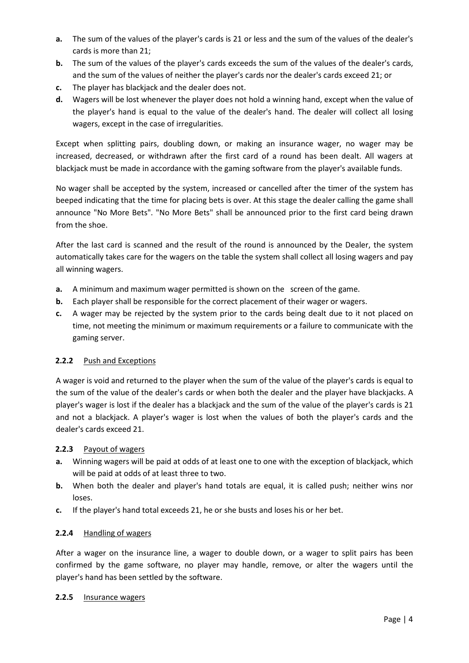- **a.** The sum of the values of the player's cards is 21 or less and the sum of the values of the dealer's cards is more than 21;
- **b.** The sum of the values of the player's cards exceeds the sum of the values of the dealer's cards, and the sum of the values of neither the player's cards nor the dealer's cards exceed 21; or
- **c.** The player has blackjack and the dealer does not.
- **d.** Wagers will be lost whenever the player does not hold a winning hand, except when the value of the player's hand is equal to the value of the dealer's hand. The dealer will collect all losing wagers, except in the case of irregularities.

Except when splitting pairs, doubling down, or making an insurance wager, no wager may be increased, decreased, or withdrawn after the first card of a round has been dealt. All wagers at blackjack must be made in accordance with the gaming software from the player's available funds.

No wager shall be accepted by the system, increased or cancelled after the timer of the system has beeped indicating that the time for placing bets is over. At this stage the dealer calling the game shall announce "No More Bets". "No More Bets" shall be announced prior to the first card being drawn from the shoe.

After the last card is scanned and the result of the round is announced by the Dealer, the system automatically takes care for the wagers on the table the system shall collect all losing wagers and pay all winning wagers.

- **a.** A minimum and maximum wager permitted is shown on the screen of the game.
- **b.** Each player shall be responsible for the correct placement of their wager or wagers.
- **c.** A wager may be rejected by the system prior to the cards being dealt due to it not placed on time, not meeting the minimum or maximum requirements or a failure to communicate with the gaming server.

## 2.2.2 Push and Exceptions

A wager is void and returned to the player when the sum of the value of the player's cards is equal to the sum of the value of the dealer's cards or when both the dealer and the player have blackjacks. A player's wager is lost if the dealer has a blackjack and the sum of the value of the player's cards is 21 and not a blackjack. A player's wager is lost when the values of both the player's cards and the dealer's cards exceed 21.

## **2.2.3** Payout of wagers

- **a.** Winning wagers will be paid at odds of at least one to one with the exception of blackjack, which will be paid at odds of at least three to two.
- **b.** When both the dealer and player's hand totals are equal, it is called push; neither wins nor loses.
- **c.** If the player's hand total exceeds 21, he or she busts and loses his or her bet.

## **2.2.4** Handling of wagers

After a wager on the insurance line, a wager to double down, or a wager to split pairs has been confirmed by the game software, no player may handle, remove, or alter the wagers until the player's hand has been settled by the software.

#### **2.2.5** Insurance wagers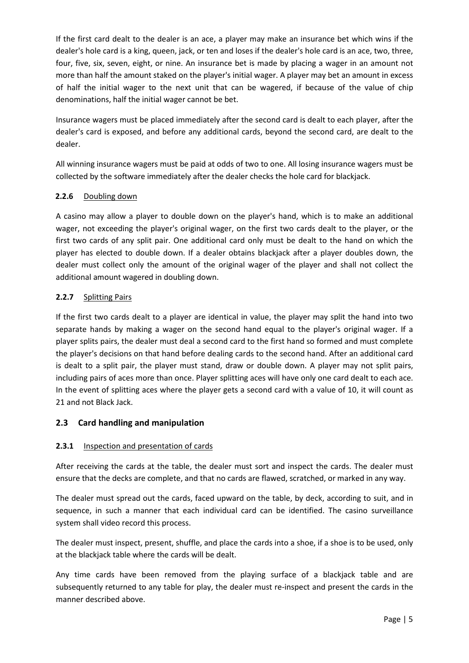If the first card dealt to the dealer is an ace, a player may make an insurance bet which wins if the dealer's hole card is a king, queen, jack, or ten and loses if the dealer's hole card is an ace, two, three, four, five, six, seven, eight, or nine. An insurance bet is made by placing a wager in an amount not more than half the amount staked on the player's initial wager. A player may bet an amount in excess of half the initial wager to the next unit that can be wagered, if because of the value of chip denominations, half the initial wager cannot be bet.

Insurance wagers must be placed immediately after the second card is dealt to each player, after the dealer's card is exposed, and before any additional cards, beyond the second card, are dealt to the dealer.

All winning insurance wagers must be paid at odds of two to one. All losing insurance wagers must be collected by the software immediately after the dealer checks the hole card for blackjack.

## **2.2.6** Doubling down

A casino may allow a player to double down on the player's hand, which is to make an additional wager, not exceeding the player's original wager, on the first two cards dealt to the player, or the first two cards of any split pair. One additional card only must be dealt to the hand on which the player has elected to double down. If a dealer obtains blackjack after a player doubles down, the dealer must collect only the amount of the original wager of the player and shall not collect the additional amount wagered in doubling down.

## **2.2.7** Splitting Pairs

If the first two cards dealt to a player are identical in value, the player may split the hand into two separate hands by making a wager on the second hand equal to the player's original wager. If a player splits pairs, the dealer must deal a second card to the first hand so formed and must complete the player's decisions on that hand before dealing cards to the second hand. After an additional card is dealt to a split pair, the player must stand, draw or double down. A player may not split pairs, including pairs of aces more than once. Player splitting aces will have only one card dealt to each ace. In the event of splitting aces where the player gets a second card with a value of 10, it will count as 21 and not Black Jack.

# **2.3 Card handling and manipulation**

## **2.3.1** Inspection and presentation of cards

After receiving the cards at the table, the dealer must sort and inspect the cards. The dealer must ensure that the decks are complete, and that no cards are flawed, scratched, or marked in any way.

The dealer must spread out the cards, faced upward on the table, by deck, according to suit, and in sequence, in such a manner that each individual card can be identified. The casino surveillance system shall video record this process.

The dealer must inspect, present, shuffle, and place the cards into a shoe, if a shoe is to be used, only at the blackjack table where the cards will be dealt.

Any time cards have been removed from the playing surface of a blackjack table and are subsequently returned to any table for play, the dealer must re-inspect and present the cards in the manner described above.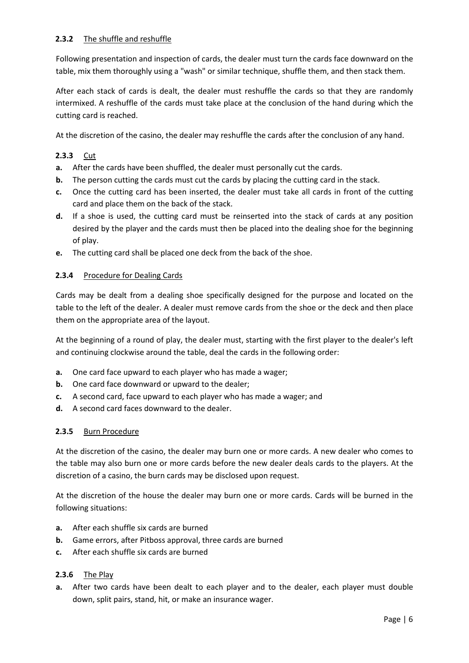## **2.3.2** The shuffle and reshuffle

Following presentation and inspection of cards, the dealer must turn the cards face downward on the table, mix them thoroughly using a "wash" or similar technique, shuffle them, and then stack them.

After each stack of cards is dealt, the dealer must reshuffle the cards so that they are randomly intermixed. A reshuffle of the cards must take place at the conclusion of the hand during which the cutting card is reached.

At the discretion of the casino, the dealer may reshuffle the cards after the conclusion of any hand.

### **2.3.3** Cut

- **a.** After the cards have been shuffled, the dealer must personally cut the cards.
- **b.** The person cutting the cards must cut the cards by placing the cutting card in the stack.
- **c.** Once the cutting card has been inserted, the dealer must take all cards in front of the cutting card and place them on the back of the stack.
- **d.** If a shoe is used, the cutting card must be reinserted into the stack of cards at any position desired by the player and the cards must then be placed into the dealing shoe for the beginning of play.
- **e.** The cutting card shall be placed one deck from the back of the shoe.

#### **2.3.4** Procedure for Dealing Cards

Cards may be dealt from a dealing shoe specifically designed for the purpose and located on the table to the left of the dealer. A dealer must remove cards from the shoe or the deck and then place them on the appropriate area of the layout.

At the beginning of a round of play, the dealer must, starting with the first player to the dealer's left and continuing clockwise around the table, deal the cards in the following order:

- **a.** One card face upward to each player who has made a wager;
- **b.** One card face downward or upward to the dealer;
- **c.** A second card, face upward to each player who has made a wager; and
- **d.** A second card faces downward to the dealer.

#### **2.3.5** Burn Procedure

At the discretion of the casino, the dealer may burn one or more cards. A new dealer who comes to the table may also burn one or more cards before the new dealer deals cards to the players. At the discretion of a casino, the burn cards may be disclosed upon request.

At the discretion of the house the dealer may burn one or more cards. Cards will be burned in the following situations:

- **a.** After each shuffle six cards are burned
- **b.** Game errors, after Pitboss approval, three cards are burned
- **c.** After each shuffle six cards are burned

#### **2.3.6** The Play

**a.** After two cards have been dealt to each player and to the dealer, each player must double down, split pairs, stand, hit, or make an insurance wager.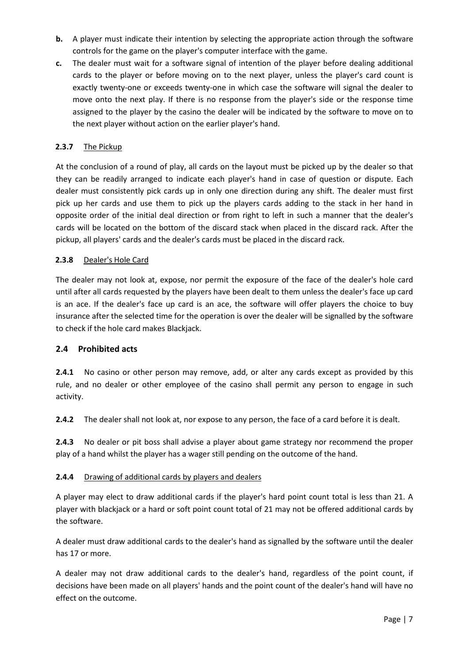- **b.** A player must indicate their intention by selecting the appropriate action through the software controls for the game on the player's computer interface with the game.
- **c.** The dealer must wait for a software signal of intention of the player before dealing additional cards to the player or before moving on to the next player, unless the player's card count is exactly twenty-one or exceeds twenty-one in which case the software will signal the dealer to move onto the next play. If there is no response from the player's side or the response time assigned to the player by the casino the dealer will be indicated by the software to move on to the next player without action on the earlier player's hand.

## **2.3.7** The Pickup

At the conclusion of a round of play, all cards on the layout must be picked up by the dealer so that they can be readily arranged to indicate each player's hand in case of question or dispute. Each dealer must consistently pick cards up in only one direction during any shift. The dealer must first pick up her cards and use them to pick up the players cards adding to the stack in her hand in opposite order of the initial deal direction or from right to left in such a manner that the dealer's cards will be located on the bottom of the discard stack when placed in the discard rack. After the pickup, all players' cards and the dealer's cards must be placed in the discard rack.

## **2.3.8** Dealer's Hole Card

The dealer may not look at, expose, nor permit the exposure of the face of the dealer's hole card until after all cards requested by the players have been dealt to them unless the dealer's face up card is an ace. If the dealer's face up card is an ace, the software will offer players the choice to buy insurance after the selected time for the operation is over the dealer will be signalled by the software to check if the hole card makes Blackjack.

## **2.4 Prohibited acts**

**2.4.1** No casino or other person may remove, add, or alter any cards except as provided by this rule, and no dealer or other employee of the casino shall permit any person to engage in such activity.

**2.4.2** The dealer shall not look at, nor expose to any person, the face of a card before it is dealt.

**2.4.3** No dealer or pit boss shall advise a player about game strategy nor recommend the proper play of a hand whilst the player has a wager still pending on the outcome of the hand.

## **2.4.4** Drawing of additional cards by players and dealers

A player may elect to draw additional cards if the player's hard point count total is less than 21. A player with blackjack or a hard or soft point count total of 21 may not be offered additional cards by the software.

A dealer must draw additional cards to the dealer's hand as signalled by the software until the dealer has 17 or more.

A dealer may not draw additional cards to the dealer's hand, regardless of the point count, if decisions have been made on all players' hands and the point count of the dealer's hand will have no effect on the outcome.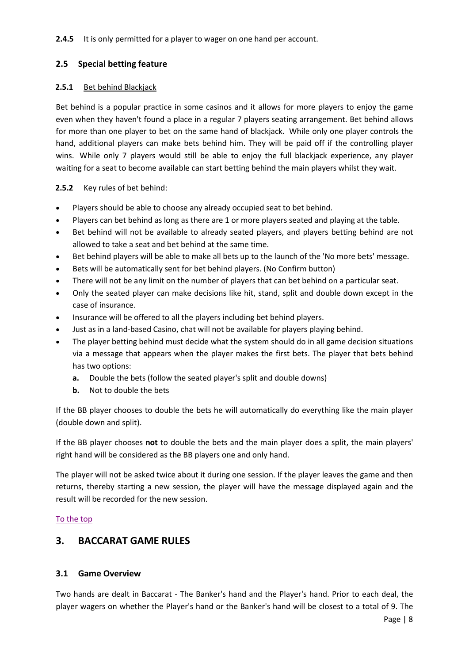**2.4.5** It is only permitted for a player to wager on one hand per account.

## **2.5 Special betting feature**

### **2.5.1** Bet behind Blackjack

Bet behind is a popular practice in some casinos and it allows for more players to enjoy the game even when they haven't found a place in a regular 7 players seating arrangement. Bet behind allows for more than one player to bet on the same hand of blackjack. While only one player controls the hand, additional players can make bets behind him. They will be paid off if the controlling player wins. While only 7 players would still be able to enjoy the full blackjack experience, any player waiting for a seat to become available can start betting behind the main players whilst they wait.

### **2.5.2** Key rules of bet behind:

- Players should be able to choose any already occupied seat to bet behind.
- Players can bet behind as long as there are 1 or more players seated and playing at the table.
- Bet behind will not be available to already seated players, and players betting behind are not allowed to take a seat and bet behind at the same time.
- Bet behind players will be able to make all bets up to the launch of the 'No more bets' message.
- Bets will be automatically sent for bet behind players. (No Confirm button)
- There will not be any limit on the number of players that can bet behind on a particular seat.
- Only the seated player can make decisions like hit, stand, split and double down except in the case of insurance.
- Insurance will be offered to all the players including bet behind players.
- Just as in a land-based Casino, chat will not be available for players playing behind.
- The player betting behind must decide what the system should do in all game decision situations via a message that appears when the player makes the first bets. The player that bets behind has two options:
	- **a.** Double the bets (follow the seated player's split and double downs)
	- **b.** Not to double the bets

If the BB player chooses to double the bets he will automatically do everything like the main player (double down and split).

If the BB player chooses **not** to double the bets and the main player does a split, the main players' right hand will be considered as the BB players one and only hand.

The player will not be asked twice about it during one session. If the player leaves the game and then returns, thereby starting a new session, the player will have the message displayed again and the result will be recorded for the new session.

#### [To the top](#page-0-1)

# <span id="page-7-0"></span>**3. BACCARAT GAME RULES**

## **3.1 Game Overview**

Two hands are dealt in Baccarat - The Banker's hand and the Player's hand. Prior to each deal, the player wagers on whether the Player's hand or the Banker's hand will be closest to a total of 9. The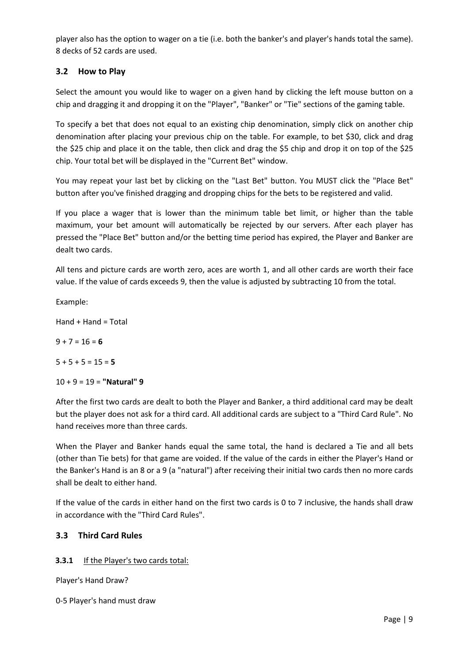player also has the option to wager on a tie (i.e. both the banker's and player's hands total the same). 8 decks of 52 cards are used.

# **3.2 How to Play**

Select the amount you would like to wager on a given hand by clicking the left mouse button on a chip and dragging it and dropping it on the "Player", "Banker" or "Tie" sections of the gaming table.

To specify a bet that does not equal to an existing chip denomination, simply click on another chip denomination after placing your previous chip on the table. For example, to bet \$30, click and drag the \$25 chip and place it on the table, then click and drag the \$5 chip and drop it on top of the \$25 chip. Your total bet will be displayed in the "Current Bet" window.

You may repeat your last bet by clicking on the "Last Bet" button. You MUST click the "Place Bet" button after you've finished dragging and dropping chips for the bets to be registered and valid.

If you place a wager that is lower than the minimum table bet limit, or higher than the table maximum, your bet amount will automatically be rejected by our servers. After each player has pressed the "Place Bet" button and/or the betting time period has expired, the Player and Banker are dealt two cards.

All tens and picture cards are worth zero, aces are worth 1, and all other cards are worth their face value. If the value of cards exceeds 9, then the value is adjusted by subtracting 10 from the total.

Example:

Hand + Hand = Total

 $9 + 7 = 16 = 6$ 

 $5 + 5 + 5 = 15 = 5$ 

10 + 9 = 19 = **"Natural" 9**

After the first two cards are dealt to both the Player and Banker, a third additional card may be dealt but the player does not ask for a third card. All additional cards are subject to a "Third Card Rule". No hand receives more than three cards.

When the Player and Banker hands equal the same total, the hand is declared a Tie and all bets (other than Tie bets) for that game are voided. If the value of the cards in either the Player's Hand or the Banker's Hand is an 8 or a 9 (a "natural") after receiving their initial two cards then no more cards shall be dealt to either hand.

If the value of the cards in either hand on the first two cards is 0 to 7 inclusive, the hands shall draw in accordance with the "Third Card Rules".

# **3.3 Third Card Rules**

# **3.3.1** If the Player's two cards total:

Player's Hand Draw?

0-5 Player's hand must draw